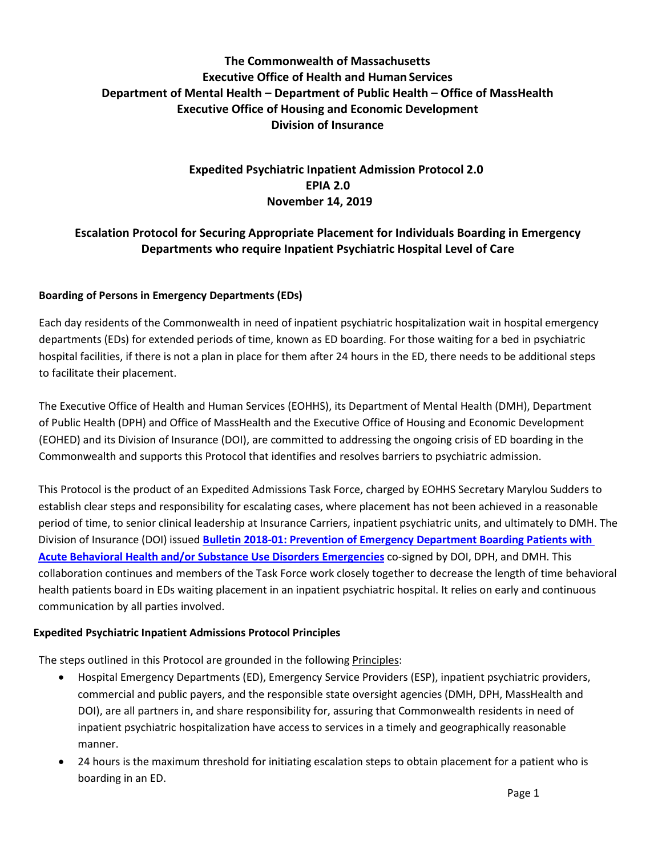# **The Commonwealth of Massachusetts Executive Office of Health and Human Services Department of Mental Health – Department of Public Health – Office of MassHealth Executive Office of Housing and Economic Development Division of Insurance**

# **Expedited Psychiatric Inpatient Admission Protocol 2.0 EPIA 2.0 November 14, 2019**

## **Escalation Protocol for Securing Appropriate Placement for Individuals Boarding in Emergency Departments who require Inpatient Psychiatric Hospital Level of Care**

## **Boarding of Persons in Emergency Departments (EDs)**

Each day residents of the Commonwealth in need of inpatient psychiatric hospitalization wait in hospital emergency departments (EDs) for extended periods of time, known as ED boarding. For those waiting for a bed in psychiatric hospital facilities, if there is not a plan in place for them after 24 hours in the ED, there needs to be additional steps to facilitate their placement.

The Executive Office of Health and Human Services (EOHHS), its Department of Mental Health (DMH), Department of Public Health (DPH) and Office of MassHealth and the Executive Office of Housing and Economic Development (EOHED) and its Division of Insurance (DOI), are committed to addressing the ongoing crisis of ED boarding in the Commonwealth and supports this Protocol that identifies and resolves barriers to psychiatric admission.

This Protocol is the product of an Expedited Admissions Task Force, charged by EOHHS Secretary Marylou Sudders to establish clear steps and responsibility for escalating cases, where placement has not been achieved in a reasonable period of time, to senior clinical leadership at Insurance Carriers, inpatient psychiatric units, and ultimately to DMH. The Division of Insurance (DOI) issued **Bulletin 2018-01: [Prevention of Emergency Department Boarding Patients with](https://www.mass.gov/news/bulletin-2018-01-prevention-of-emergency-department-boarding-of-patients-with-acute-behavioral)  [Acute Behavioral Health and/or Substance Use Disorders Emergencies](https://www.mass.gov/news/bulletin-2018-01-prevention-of-emergency-department-boarding-of-patients-with-acute-behavioral)** co-signed by DOI, DPH, and DMH. This collaboration continues and members of the Task Force work closely together to decrease the length of time behavioral health patients board in EDs waiting placement in an inpatient psychiatric hospital. It relies on early and continuous communication by all parties involved.

## **Expedited Psychiatric Inpatient Admissions Protocol Principles**

The steps outlined in this Protocol are grounded in the following Principles:

- Hospital Emergency Departments (ED), Emergency Service Providers (ESP), inpatient psychiatric providers, commercial and public payers, and the responsible state oversight agencies (DMH, DPH, MassHealth and DOI), are all partners in, and share responsibility for, assuring that Commonwealth residents in need of inpatient psychiatric hospitalization have access to services in a timely and geographically reasonable manner.
- 24 hours is the maximum threshold for initiating escalation steps to obtain placement for a patient who is boarding in an ED.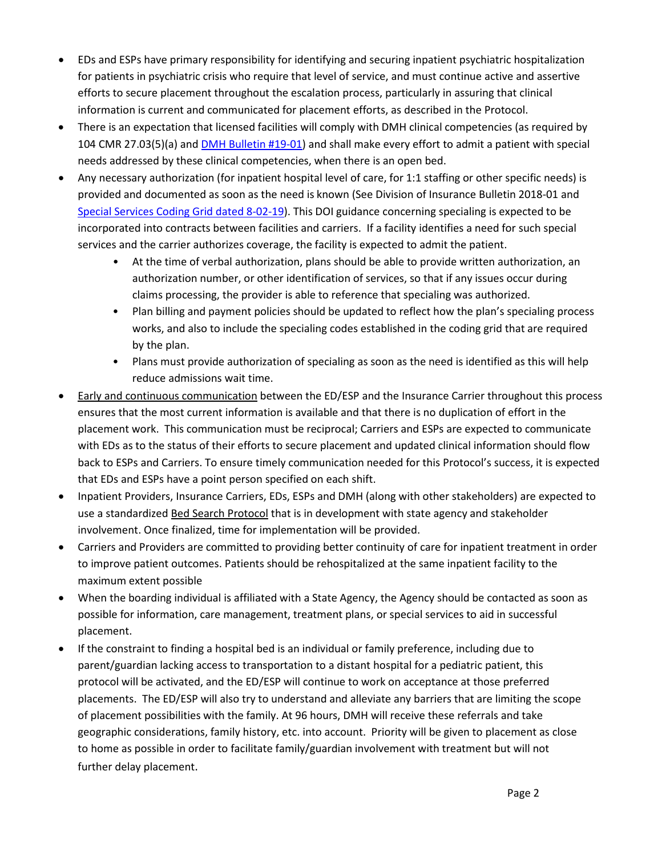- EDs and ESPs have primary responsibility for identifying and securing inpatient psychiatric hospitalization for patients in psychiatric crisis who require that level of service, and must continue active and assertive efforts to secure placement throughout the escalation process, particularly in assuring that clinical information is current and communicated for placement efforts, as described in the Protocol.
- There is an expectation that licensed facilities will comply with DMH clinical competencies (as required by 104 CMR 27.03(5)(a) and [DMH Bulletin #19-01\)](https://www.mass.gov/service-details/bulletins-0) and shall make every effort to admit a patient with special needs addressed by these clinical competencies, when there is an open bed.
- Any necessary authorization (for inpatient hospital level of care, for 1:1 staffing or other specific needs) is provided and documented as soon as the need is known (See Division of Insurance Bulletin 2018-01 and [Special Services Coding Grid dated 8-02-19\)](https://www.mass.gov/info-details/expedited-psychiatric-inpatient-admission-epia). This DOI guidance concerning specialing is expected to be incorporated into contracts between facilities and carriers. If a facility identifies a need for such special services and the carrier authorizes coverage, the facility is expected to admit the patient.
	- At the time of verbal authorization, plans should be able to provide written authorization, an authorization number, or other identification of services, so that if any issues occur during claims processing, the provider is able to reference that specialing was authorized.
	- Plan billing and payment policies should be updated to reflect how the plan's specialing process works, and also to include the specialing codes established in the coding grid that are required by the plan.
	- Plans must provide authorization of specialing as soon as the need is identified as this will help reduce admissions wait time.
- Early and continuous communication between the ED/ESP and the Insurance Carrier throughout this process ensures that the most current information is available and that there is no duplication of effort in the placement work. This communication must be reciprocal; Carriers and ESPs are expected to communicate with EDs as to the status of their efforts to secure placement and updated clinical information should flow back to ESPs and Carriers. To ensure timely communication needed for this Protocol's success, it is expected that EDs and ESPs have a point person specified on each shift.
- Inpatient Providers, Insurance Carriers, EDs, ESPs and DMH (along with other stakeholders) are expected to use a standardized Bed Search Protocol that is in development with state agency and stakeholder involvement. Once finalized, time for implementation will be provided.
- Carriers and Providers are committed to providing better continuity of care for inpatient treatment in order to improve patient outcomes. Patients should be rehospitalized at the same inpatient facility to the maximum extent possible
- When the boarding individual is affiliated with a State Agency, the Agency should be contacted as soon as possible for information, care management, treatment plans, or special services to aid in successful placement.
- If the constraint to finding a hospital bed is an individual or family preference, including due to parent/guardian lacking access to transportation to a distant hospital for a pediatric patient, this protocol will be activated, and the ED/ESP will continue to work on acceptance at those preferred placements. The ED/ESP will also try to understand and alleviate any barriers that are limiting the scope of placement possibilities with the family. At 96 hours, DMH will receive these referrals and take geographic considerations, family history, etc. into account. Priority will be given to placement as close to home as possible in order to facilitate family/guardian involvement with treatment but will not further delay placement.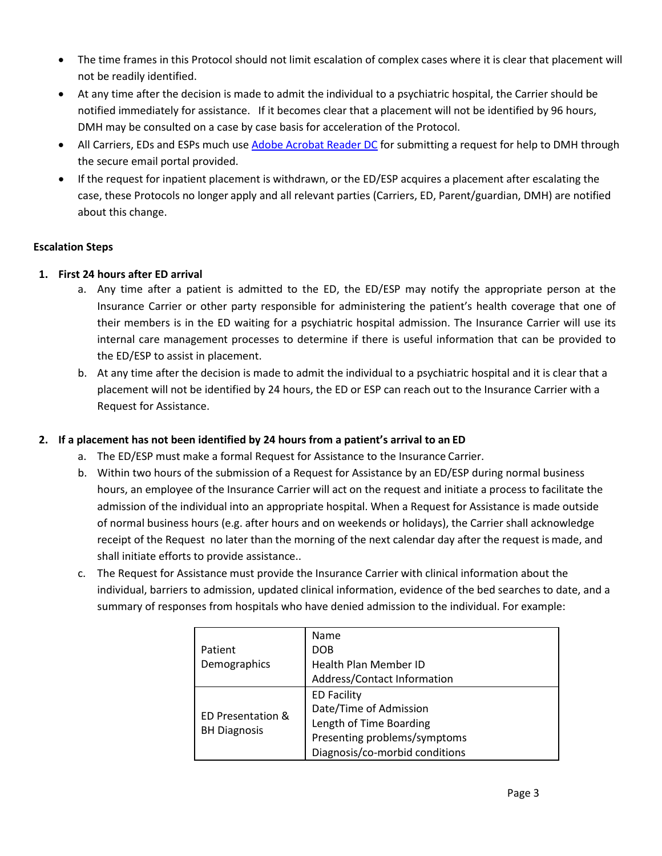- The time frames in this Protocol should not limit escalation of complex cases where it is clear that placement will not be readily identified.
- At any time after the decision is made to admit the individual to a psychiatric hospital, the Carrier should be notified immediately for assistance. If it becomes clear that a placement will not be identified by 96 hours, DMH may be consulted on a case by case basis for acceleration of the Protocol.
- All Carriers, EDs and ESPs much us[e Adobe Acrobat Reader DC](https://acrobat.adobe.com/us/en/acrobat/pdf-reader.html) for submitting a request for help to DMH through the secure email portal provided.
- If the request for inpatient placement is withdrawn, or the ED/ESP acquires a placement after escalating the case, these Protocols no longer apply and all relevant parties (Carriers, ED, Parent/guardian, DMH) are notified about this change.

## **Escalation Steps**

#### **1. First 24 hours after ED arrival**

- a. Any time after a patient is admitted to the ED, the ED/ESP may notify the appropriate person at the Insurance Carrier or other party responsible for administering the patient's health coverage that one of their members is in the ED waiting for a psychiatric hospital admission. The Insurance Carrier will use its internal care management processes to determine if there is useful information that can be provided to the ED/ESP to assist in placement.
- b. At any time after the decision is made to admit the individual to a psychiatric hospital and it is clear that a placement will not be identified by 24 hours, the ED or ESP can reach out to the Insurance Carrier with a Request for Assistance.

## **2. If a placement has not been identified by 24 hours from a patient's arrival to an ED**

- a. The ED/ESP must make a formal Request for Assistance to the Insurance Carrier.
- b. Within two hours of the submission of a Request for Assistance by an ED/ESP during normal business hours, an employee of the Insurance Carrier will act on the request and initiate a process to facilitate the admission of the individual into an appropriate hospital. When a Request for Assistance is made outside of normal business hours (e.g. after hours and on weekends or holidays), the Carrier shall acknowledge receipt of the Request no later than the morning of the next calendar day after the request is made, and shall initiate efforts to provide assistance..
- c. The Request for Assistance must provide the Insurance Carrier with clinical information about the individual, barriers to admission, updated clinical information, evidence of the bed searches to date, and a summary of responses from hospitals who have denied admission to the individual. For example:

| Patient<br>Demographics                  | Name<br><b>DOB</b><br>Health Plan Member ID<br>Address/Contact Information                                                                |
|------------------------------------------|-------------------------------------------------------------------------------------------------------------------------------------------|
| ED Presentation &<br><b>BH Diagnosis</b> | <b>ED Facility</b><br>Date/Time of Admission<br>Length of Time Boarding<br>Presenting problems/symptoms<br>Diagnosis/co-morbid conditions |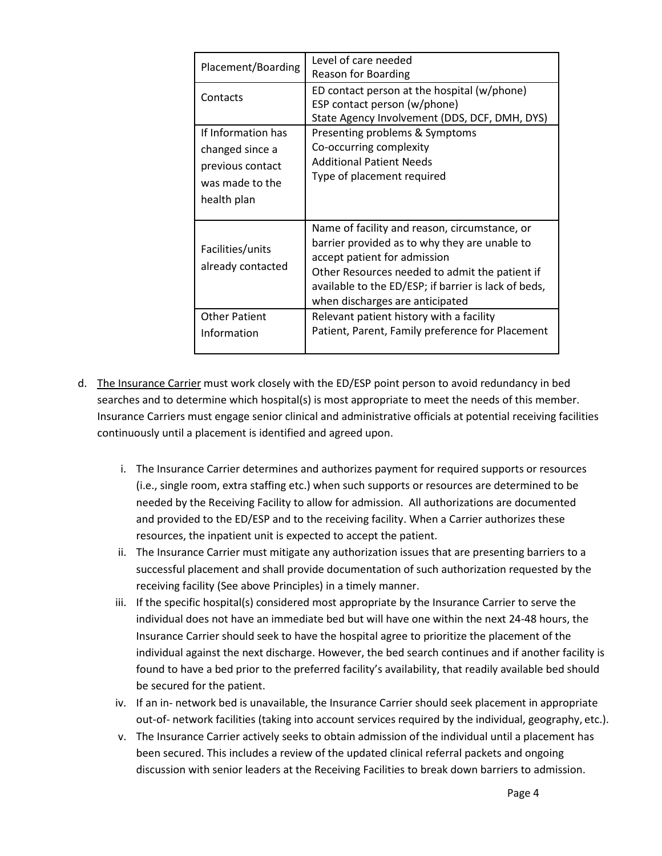| Placement/Boarding                                                                          | Level of care needed<br>Reason for Boarding                                                                                                                                                                                                                                 |
|---------------------------------------------------------------------------------------------|-----------------------------------------------------------------------------------------------------------------------------------------------------------------------------------------------------------------------------------------------------------------------------|
| Contacts                                                                                    | ED contact person at the hospital (w/phone)<br>ESP contact person (w/phone)<br>State Agency Involvement (DDS, DCF, DMH, DYS)                                                                                                                                                |
| If Information has<br>changed since a<br>previous contact<br>was made to the<br>health plan | Presenting problems & Symptoms<br>Co-occurring complexity<br><b>Additional Patient Needs</b><br>Type of placement required                                                                                                                                                  |
| Facilities/units<br>already contacted                                                       | Name of facility and reason, circumstance, or<br>barrier provided as to why they are unable to<br>accept patient for admission<br>Other Resources needed to admit the patient if<br>available to the ED/ESP; if barrier is lack of beds,<br>when discharges are anticipated |
| Other Patient<br>Information                                                                | Relevant patient history with a facility<br>Patient, Parent, Family preference for Placement                                                                                                                                                                                |

- d. The Insurance Carrier must work closely with the ED/ESP point person to avoid redundancy in bed searches and to determine which hospital(s) is most appropriate to meet the needs of this member. Insurance Carriers must engage senior clinical and administrative officials at potential receiving facilities continuously until a placement is identified and agreed upon.
	- i. The Insurance Carrier determines and authorizes payment for required supports or resources (i.e., single room, extra staffing etc.) when such supports or resources are determined to be needed by the Receiving Facility to allow for admission. All authorizations are documented and provided to the ED/ESP and to the receiving facility. When a Carrier authorizes these resources, the inpatient unit is expected to accept the patient.
	- ii. The Insurance Carrier must mitigate any authorization issues that are presenting barriers to a successful placement and shall provide documentation of such authorization requested by the receiving facility (See above Principles) in a timely manner.
	- iii. If the specific hospital(s) considered most appropriate by the Insurance Carrier to serve the individual does not have an immediate bed but will have one within the next 24-48 hours, the Insurance Carrier should seek to have the hospital agree to prioritize the placement of the individual against the next discharge. However, the bed search continues and if another facility is found to have a bed prior to the preferred facility's availability, that readily available bed should be secured for the patient.
	- iv. If an in- network bed is unavailable, the Insurance Carrier should seek placement in appropriate out-of- network facilities (taking into account services required by the individual, geography, etc.).
	- v. The Insurance Carrier actively seeks to obtain admission of the individual until a placement has been secured. This includes a review of the updated clinical referral packets and ongoing discussion with senior leaders at the Receiving Facilities to break down barriers to admission.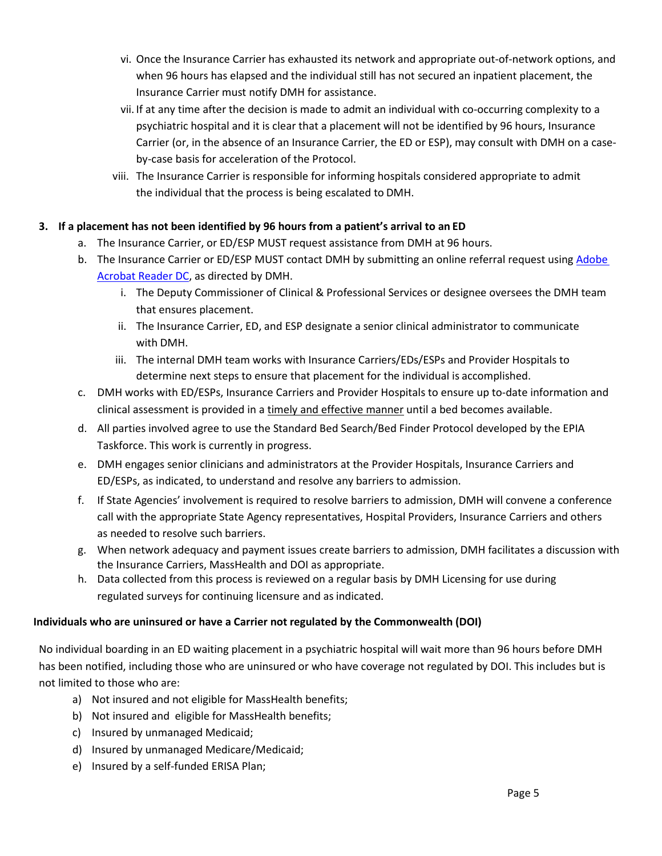- vi. Once the Insurance Carrier has exhausted its network and appropriate out-of-network options, and when 96 hours has elapsed and the individual still has not secured an inpatient placement, the Insurance Carrier must notify DMH for assistance.
- vii. If at any time after the decision is made to admit an individual with co-occurring complexity to a psychiatric hospital and it is clear that a placement will not be identified by 96 hours, Insurance Carrier (or, in the absence of an Insurance Carrier, the ED or ESP), may consult with DMH on a caseby-case basis for acceleration of the Protocol.
- viii. The Insurance Carrier is responsible for informing hospitals considered appropriate to admit the individual that the process is being escalated to DMH.

## **3. If a placement has not been identified by 96 hours from a patient's arrival to an ED**

- a. The Insurance Carrier, or ED/ESP MUST request assistance from DMH at 96 hours.
- b. The Insurance Carrier or ED/ESP MUST contact DMH by submitting an online referral request using [Adobe](https://acrobat.adobe.com/us/en/acrobat/pdf-reader.html)  [Acrobat Reader DC,](https://acrobat.adobe.com/us/en/acrobat/pdf-reader.html) as directed by DMH.
	- i. The Deputy Commissioner of Clinical & Professional Services or designee oversees the DMH team that ensures placement.
	- ii. The Insurance Carrier, ED, and ESP designate a senior clinical administrator to communicate with DMH.
	- iii. The internal DMH team works with Insurance Carriers/EDs/ESPs and Provider Hospitals to determine next steps to ensure that placement for the individual is accomplished.
- c. DMH works with ED/ESPs, Insurance Carriers and Provider Hospitals to ensure up to-date information and clinical assessment is provided in a timely and effective manner until a bed becomes available.
- d. All parties involved agree to use the Standard Bed Search/Bed Finder Protocol developed by the EPIA Taskforce. This work is currently in progress.
- e. DMH engages senior clinicians and administrators at the Provider Hospitals, Insurance Carriers and ED/ESPs, as indicated, to understand and resolve any barriers to admission.
- f. If State Agencies' involvement is required to resolve barriers to admission, DMH will convene a conference call with the appropriate State Agency representatives, Hospital Providers, Insurance Carriers and others as needed to resolve such barriers.
- g. When network adequacy and payment issues create barriers to admission, DMH facilitates a discussion with the Insurance Carriers, MassHealth and DOI as appropriate.
- h. Data collected from this process is reviewed on a regular basis by DMH Licensing for use during regulated surveys for continuing licensure and as indicated.

## **Individuals who are uninsured or have a Carrier not regulated by the Commonwealth (DOI)**

No individual boarding in an ED waiting placement in a psychiatric hospital will wait more than 96 hours before DMH has been notified, including those who are uninsured or who have coverage not regulated by DOI. This includes but is not limited to those who are:

- a) Not insured and not eligible for MassHealth benefits;
- b) Not insured and eligible for MassHealth benefits;
- c) Insured by unmanaged Medicaid;
- d) Insured by unmanaged Medicare/Medicaid;
- e) Insured by a self-funded ERISA Plan;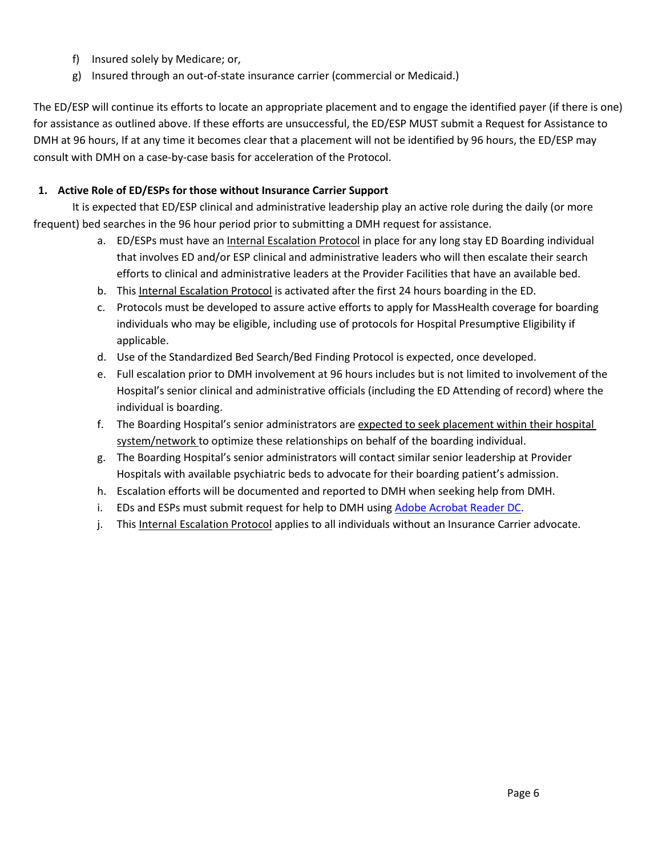- f) Insured solely by Medicare; or,
- g) Insured through an out-of-state insurance carrier (commercial or Medicaid.)

The ED/ESP will continue its efforts to locate an appropriate placement and to engage the identified payer (if there is one) for assistance as outlined above. If these efforts are unsuccessful, the ED/ESP MUST submit a Request for Assistance to DMH at 96 hours, If at any time it becomes clear that a placement will not be identified by 96 hours, the ED/ESP may consult with DMH on a case-by-case basis for acceleration of the Protocol.

## **1. Active Role of ED/ESPs for those without Insurance Carrier Support**

It is expected that ED/ESP clinical and administrative leadership play an active role during the daily (or more frequent) bed searches in the 96 hour period prior to submitting a DMH request for assistance.

- a. ED/ESPs must have an Internal Escalation Protocol in place for any long stay ED Boarding individual that involves ED and/or ESP clinical and administrative leaders who will then escalate their search efforts to clinical and administrative leaders at the Provider Facilities that have an available bed.
- b. This Internal Escalation Protocol is activated after the first 24 hours boarding in the ED.
- c. Protocols must be developed to assure active efforts to apply for MassHealth coverage for boarding individuals who may be eligible, including use of protocols for Hospital Presumptive Eligibility if applicable.
- d. Use of the Standardized Bed Search/Bed Finding Protocol is expected, once developed.
- e. Full escalation prior to DMH involvement at 96 hours includes but is not limited to involvement of the Hospital's senior clinical and administrative officials (including the ED Attending of record) where the individual is boarding.
- f. The Boarding Hospital's senior administrators are expected to seek placement within their hospital system/network to optimize these relationships on behalf of the boarding individual.
- g. The Boarding Hospital's senior administrators will contact similar senior leadership at Provider Hospitals with available psychiatric beds to advocate for their boarding patient's admission.
- h. Escalation efforts will be documented and reported to DMH when seeking help from DMH.
- i. EDs and ESPs must submit request for help to DMH using [Adobe Acrobat Reader DC.](https://acrobat.adobe.com/us/en/acrobat/pdf-reader.html)
- j. This Internal Escalation Protocol applies to all individuals without an Insurance Carrier advocate.